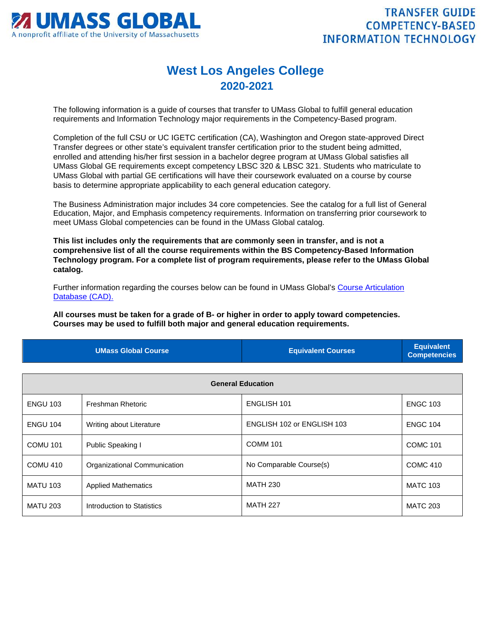

## **West Los Angeles College 2020-2021**

The following information is a guide of courses that transfer to UMass Global to fulfill general education requirements and Information Technology major requirements in the Competency-Based program.

Completion of the full CSU or UC IGETC certification (CA), Washington and Oregon state-approved Direct Transfer degrees or other state's equivalent transfer certification prior to the student being admitted, enrolled and attending his/her first session in a bachelor degree program at UMass Global satisfies all UMass Global GE requirements except competency LBSC 320 & LBSC 321. Students who matriculate to UMass Global with partial GE certifications will have their coursework evaluated on a course by course basis to determine appropriate applicability to each general education category.

The Business Administration major includes 34 core competencies. See the catalog for a full list of General Education, Major, and Emphasis competency requirements. Information on transferring prior coursework to meet UMass Global competencies can be found in the UMass Global catalog.

**This list includes only the requirements that are commonly seen in transfer, and is not a comprehensive list of all the course requirements within the BS Competency-Based Information Technology program. For a complete list of program requirements, please refer to the UMass Global catalog.**

Further information regarding the courses below can be found in UMass Global's [Course Articulation](http://services.umassglobal.edu/studentservices/TransferCredit/)  [Database \(CAD\).](http://services.umassglobal.edu/studentservices/TransferCredit/) 

**All courses must be taken for a grade of B- or higher in order to apply toward competencies. Courses may be used to fulfill both major and general education requirements.** 

| <b>UMass Global Course</b> | <b>Equivalent Courses</b> | <b>Equivalent</b><br>Competencies |
|----------------------------|---------------------------|-----------------------------------|
|                            |                           |                                   |

| <b>General Education</b> |                              |                            |                 |
|--------------------------|------------------------------|----------------------------|-----------------|
| <b>ENGU 103</b>          | Freshman Rhetoric            | <b>ENGLISH 101</b>         | <b>ENGC 103</b> |
| <b>ENGU 104</b>          | Writing about Literature     | ENGLISH 102 or ENGLISH 103 | <b>ENGC 104</b> |
| <b>COMU 101</b>          | Public Speaking I            | <b>COMM 101</b>            | <b>COMC 101</b> |
| COMU 410                 | Organizational Communication | No Comparable Course(s)    | <b>COMC 410</b> |
| <b>MATU 103</b>          | <b>Applied Mathematics</b>   | <b>MATH 230</b>            | <b>MATC 103</b> |
| <b>MATU 203</b>          | Introduction to Statistics   | <b>MATH 227</b>            | <b>MATC 203</b> |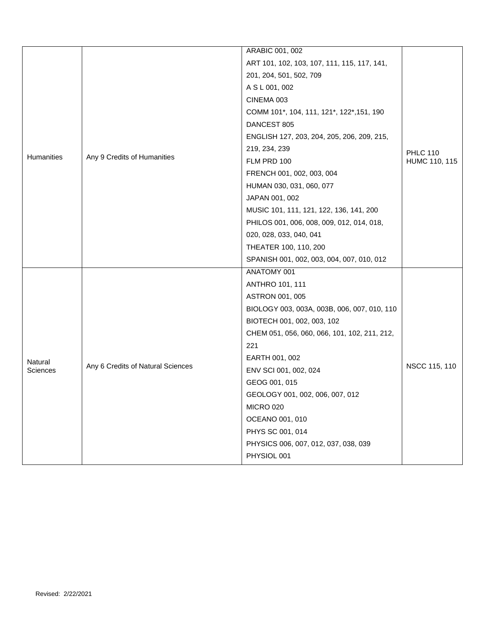|            |                                   | <b>ARABIC 001, 002</b>                       |                                  |
|------------|-----------------------------------|----------------------------------------------|----------------------------------|
|            |                                   | ART 101, 102, 103, 107, 111, 115, 117, 141,  | <b>PHLC 110</b><br>HUMC 110, 115 |
|            |                                   | 201, 204, 501, 502, 709                      |                                  |
|            |                                   | A S L 001, 002                               |                                  |
|            |                                   | CINEMA 003                                   |                                  |
|            |                                   | COMM 101*, 104, 111, 121*, 122*, 151, 190    |                                  |
|            |                                   | DANCEST 805                                  |                                  |
|            |                                   | ENGLISH 127, 203, 204, 205, 206, 209, 215,   |                                  |
|            |                                   | 219, 234, 239                                |                                  |
| Humanities | Any 9 Credits of Humanities       | FLM PRD 100                                  |                                  |
|            |                                   | FRENCH 001, 002, 003, 004                    |                                  |
|            |                                   | HUMAN 030, 031, 060, 077                     |                                  |
|            |                                   | JAPAN 001, 002                               |                                  |
|            |                                   | MUSIC 101, 111, 121, 122, 136, 141, 200      |                                  |
|            |                                   | PHILOS 001, 006, 008, 009, 012, 014, 018,    |                                  |
|            |                                   | 020, 028, 033, 040, 041                      |                                  |
|            |                                   | THEATER 100, 110, 200                        |                                  |
|            |                                   | SPANISH 001, 002, 003, 004, 007, 010, 012    |                                  |
|            |                                   | ANATOMY 001                                  |                                  |
|            |                                   | <b>ANTHRO 101, 111</b>                       |                                  |
|            |                                   | <b>ASTRON 001, 005</b>                       |                                  |
|            |                                   | BIOLOGY 003, 003A, 003B, 006, 007, 010, 110  |                                  |
|            |                                   | BIOTECH 001, 002, 003, 102                   |                                  |
|            |                                   | CHEM 051, 056, 060, 066, 101, 102, 211, 212, |                                  |
|            |                                   | 221                                          |                                  |
| Natural    |                                   | EARTH 001, 002                               | NSCC 115, 110                    |
| Sciences   | Any 6 Credits of Natural Sciences | ENV SCI 001, 002, 024                        |                                  |
|            |                                   | GEOG 001, 015                                |                                  |
|            |                                   | GEOLOGY 001, 002, 006, 007, 012              |                                  |
|            |                                   | <b>MICRO 020</b>                             |                                  |
|            |                                   | OCEANO 001, 010                              |                                  |
|            |                                   | PHYS SC 001, 014                             |                                  |
|            |                                   | PHYSICS 006, 007, 012, 037, 038, 039         |                                  |
|            |                                   | PHYSIOL 001                                  |                                  |